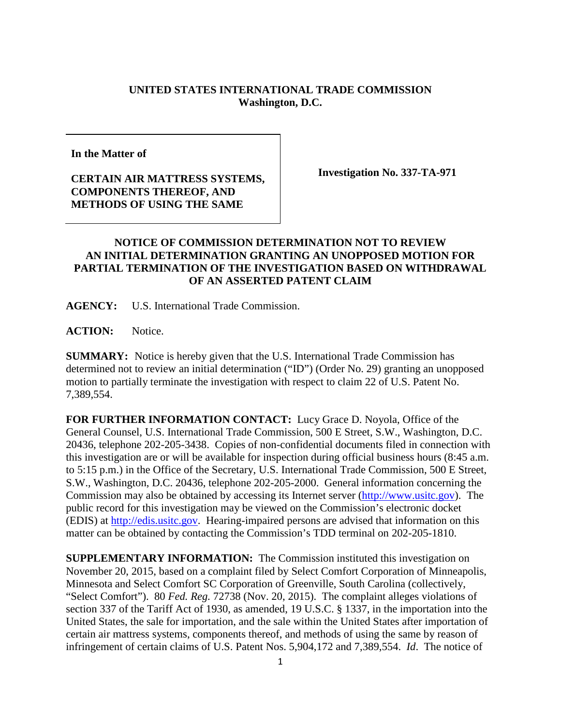## **UNITED STATES INTERNATIONAL TRADE COMMISSION Washington, D.C.**

**In the Matter of**

## **CERTAIN AIR MATTRESS SYSTEMS, COMPONENTS THEREOF, AND METHODS OF USING THE SAME**

**Investigation No. 337-TA-971**

## **NOTICE OF COMMISSION DETERMINATION NOT TO REVIEW AN INITIAL DETERMINATION GRANTING AN UNOPPOSED MOTION FOR PARTIAL TERMINATION OF THE INVESTIGATION BASED ON WITHDRAWAL OF AN ASSERTED PATENT CLAIM**

**AGENCY:** U.S. International Trade Commission.

ACTION: Notice.

**SUMMARY:** Notice is hereby given that the U.S. International Trade Commission has determined not to review an initial determination ("ID") (Order No. 29) granting an unopposed motion to partially terminate the investigation with respect to claim 22 of U.S. Patent No. 7,389,554.

**FOR FURTHER INFORMATION CONTACT:** Lucy Grace D. Noyola, Office of the General Counsel, U.S. International Trade Commission, 500 E Street, S.W., Washington, D.C. 20436, telephone 202-205-3438. Copies of non-confidential documents filed in connection with this investigation are or will be available for inspection during official business hours (8:45 a.m. to 5:15 p.m.) in the Office of the Secretary, U.S. International Trade Commission, 500 E Street, S.W., Washington, D.C. 20436, telephone 202-205-2000. General information concerning the Commission may also be obtained by accessing its Internet server [\(http://www.usitc.gov\)](http://www.usitc.gov/). The public record for this investigation may be viewed on the Commission's electronic docket (EDIS) at [http://edis.usitc.gov.](http://edis.usitc.gov/) Hearing-impaired persons are advised that information on this matter can be obtained by contacting the Commission's TDD terminal on 202-205-1810.

**SUPPLEMENTARY INFORMATION:** The Commission instituted this investigation on November 20, 2015, based on a complaint filed by Select Comfort Corporation of Minneapolis, Minnesota and Select Comfort SC Corporation of Greenville, South Carolina (collectively, "Select Comfort"). 80 *Fed. Reg.* 72738 (Nov. 20, 2015). The complaint alleges violations of section 337 of the Tariff Act of 1930, as amended, 19 U.S.C. § 1337, in the importation into the United States, the sale for importation, and the sale within the United States after importation of certain air mattress systems, components thereof, and methods of using the same by reason of infringement of certain claims of U.S. Patent Nos. 5,904,172 and 7,389,554. *Id*. The notice of